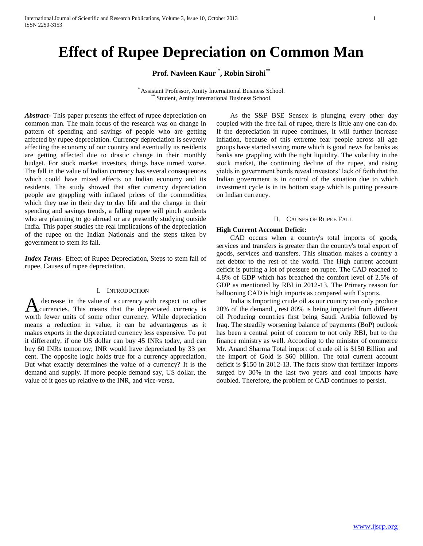# **Effect of Rupee Depreciation on Common Man**

**Prof. Navleen Kaur \* , Robin Sirohi\*\***

\* Assistant Professor, Amity International Business School. Student, Amity International Business School.

*Abstract***-** This paper presents the effect of rupee depreciation on common man. The main focus of the research was on change in pattern of spending and savings of people who are getting affected by rupee depreciation. Currency depreciation is severely affecting the economy of our country and eventually its residents are getting affected due to drastic change in their monthly budget. For stock market investors, things have turned worse. The fall in the value of Indian currency has several consequences which could have mixed effects on Indian economy and its residents. The study showed that after currency depreciation people are grappling with inflated prices of the commodities which they use in their day to day life and the change in their spending and savings trends, a falling rupee will pinch students who are planning to go abroad or are presently studying outside India. This paper studies the real implications of the depreciation of the rupee on the Indian Nationals and the steps taken by government to stem its fall.

*Index Terms*- Effect of Rupee Depreciation, Steps to stem fall of rupee, Causes of rupee depreciation.

# I. INTRODUCTION

decrease in the value of a currency with respect to other currencies. This means that the depreciated currency is A decrease in the value of a currency with respect to other currencies. This means that the depreciated currency is worth fewer units of some other currency. While depreciation means a reduction in value, it can be advantageous as it makes exports in the depreciated currency less expensive. To put it differently, if one US dollar can buy 45 INRs today, and can buy 60 INRs tomorrow; INR would have depreciated by 33 per cent. The opposite logic holds true for a currency appreciation. But what exactly determines the value of a currency? It is the demand and supply. If more people demand say, US dollar, the value of it goes up relative to the INR, and vice-versa.

 As the S&P BSE Sensex is plunging every other day coupled with the free fall of rupee, there is little any one can do. If the depreciation in rupee continues, it will further increase inflation, because of this extreme fear people across all age groups have started saving more which is good news for banks as banks are grappling with the tight liquidity. The volatility in the stock market, the continuing decline of the rupee, and rising yields in government bonds reveal investors' lack of faith that the Indian government is in control of the situation due to which investment cycle is in its bottom stage which is putting pressure on Indian currency.

#### II. CAUSES OF RUPEE FALL

# **High Current Account Deficit:**

 CAD occurs when a country's total imports of goods, services and transfers is greater than the country's total export of goods, services and transfers. This situation makes a country a net debtor to the rest of the world. The High current account deficit is putting a lot of pressure on rupee. The CAD reached to 4.8% of GDP which has breached the comfort level of 2.5% of GDP as mentioned by RBI in 2012-13. The Primary reason for ballooning CAD is high imports as compared with Exports.

 India is Importing crude oil as our country can only produce 20% of the demand , rest 80% is being imported from different oil Producing countries first being Saudi Arabia followed by Iraq. The steadily worsening balance of payments (BoP) outlook has been a central point of concern to not only RBI, but to the finance ministry as well. According to the minister of commerce Mr. Anand Sharma Total import of crude oil is \$150 Billion and the import of Gold is \$60 billion. The total current account deficit is \$150 in 2012-13. The facts show that fertilizer imports surged by 30% in the last two years and coal imports have doubled. Therefore, the problem of CAD continues to persist.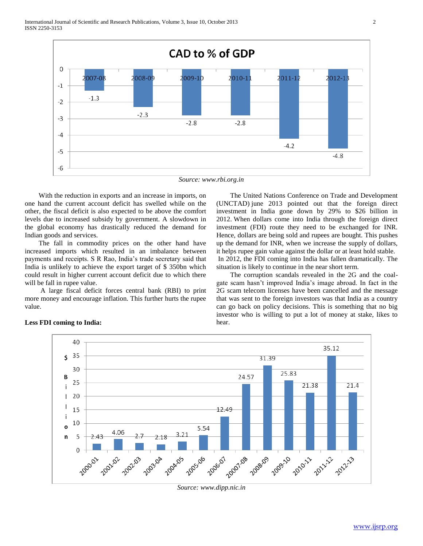

*Source: www.rbi.org.in*

 With the reduction in exports and an increase in imports, on one hand the current account deficit has swelled while on the other, the fiscal deficit is also expected to be above the comfort levels due to increased subsidy by government. A slowdown in the global economy has drastically reduced the demand for Indian goods and services.

 The fall in commodity prices on the other hand have increased imports which resulted in an imbalance between payments and receipts. S R Rao, India's trade secretary said that India is unlikely to achieve the export target of \$ 350bn which could result in higher current account deficit due to which there will be fall in rupee value.

 A large fiscal deficit forces central bank (RBI) to print more money and encourage inflation. This further hurts the rupee value.

 The United Nations Conference on Trade and Development (UNCTAD) june 2013 pointed out that the foreign direct investment in India gone down by 29% to \$26 billion in 2012. When dollars come into India through the foreign direct investment (FDI) route they need to be exchanged for INR. Hence, dollars are being sold and rupees are bought. This pushes up the demand for INR, when we increase the supply of dollars, it helps rupee gain value against the dollar or at least hold stable. In 2012, the FDI coming into India has fallen dramatically. The situation is likely to continue in the near short term.

 The corruption scandals revealed in the 2G and the coalgate scam hasn't improved India's image abroad. In fact in the 2G scam telecom licenses have been cancelled and the message that was sent to the foreign investors was that India as a country can go back on policy decisions. This is something that no big investor who is willing to put a lot of money at stake, likes to hear.



# **Less FDI coming to India:**

*Source: www.dipp.nic.in*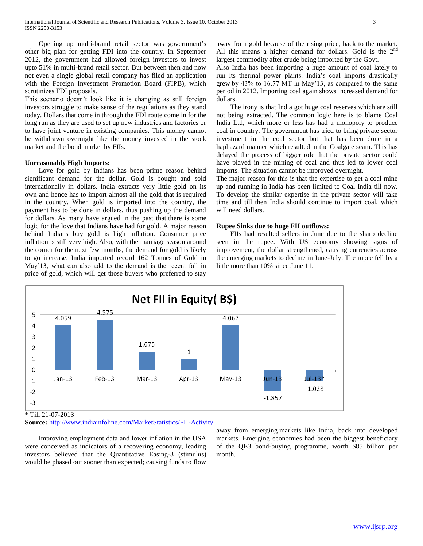Opening up multi-brand retail sector was government's other big plan for getting FDI into the country. In September 2012, the government had allowed foreign investors to invest upto 51% in multi-brand retail sector. But between then and now not even a single global retail company has filed an application with the Foreign Investment Promotion Board (FIPB), which scrutinizes FDI proposals.

This scenario doesn't look like it is changing as still foreign investors struggle to make sense of the regulations as they stand today. Dollars that come in through the FDI route come in for the long run as they are used to set up new industries and factories or to have joint venture in existing companies. This money cannot be withdrawn overnight like the money invested in the stock market and the bond market by FIIs.

# **Unreasonably High Imports:**

 Love for gold by Indians has been prime reason behind significant demand for the dollar. Gold is bought and sold internationally in dollars. India extracts very little gold on its own and hence has to import almost all the gold that is required in the country. When gold is imported into the country, the payment has to be done in dollars, thus pushing up the demand for dollars. As many have argued in the past that there is some logic for the love that Indians have had for gold. A major reason behind Indians buy gold is high inflation. Consumer price inflation is still very high. Also, with the marriage season around the corner for the next few months, the demand for gold is likely to go increase. India imported record 162 Tonnes of Gold in May'13, what can also add to the demand is the recent fall in price of gold, which will get those buyers who preferred to stay

away from gold because of the rising price, back to the market. All this means a higher demand for dollars. Gold is the  $2<sup>nd</sup>$ largest commodity after crude being imported by the Govt.

Also India has been importing a huge amount of coal lately to run its thermal power plants. India's coal imports drastically grew by 43% to 16.77 MT in May'13, as compared to the same period in 2012. Importing coal again shows increased demand for dollars.

 The irony is that India got huge coal reserves which are still not being extracted. The common logic here is to blame Coal India Ltd, which more or less has had a monopoly to produce coal in country. The government has tried to bring private sector investment in the coal sector but that has been done in a haphazard manner which resulted in the Coalgate scam. This has delayed the process of bigger role that the private sector could have played in the mining of coal and thus led to lower coal imports. The situation cannot be improved overnight.

The major reason for this is that the expertise to get a coal mine up and running in India has been limited to Coal India till now. To develop the similar expertise in the private sector will take time and till then India should continue to import coal, which will need dollars.

#### **Rupee Sinks due to huge FII outflows:**

 FIIs had resulted sellers in June due to the sharp decline seen in the rupee. With US economy showing signs of improvement, the dollar strengthened, causing currencies across the emerging markets to decline in June-July. The rupee fell by a little more than 10% since June 11.



\* Till 21-07-2013

**Source:** <http://www.indiainfoline.com/MarketStatistics/FII-Activity>

 Improving employment data and lower inflation in the USA were conceived as indicators of a recovering economy, leading investors believed that the Quantitative Easing-3 (stimulus) would be phased out sooner than expected; causing funds to flow

away from emerging markets like India, back into developed markets. Emerging economies had been the biggest beneficiary of the QE3 bond-buying programme, worth \$85 billion per month.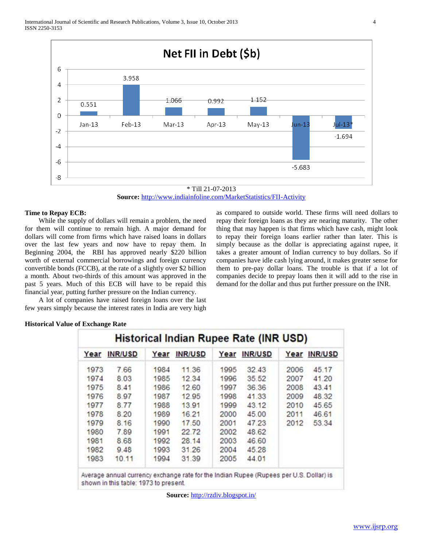

\* Till 21-07-2013 **Source:** <http://www.indiainfoline.com/MarketStatistics/FII-Activity>

# **Time to Repay ECB:**

 While the supply of dollars will remain a problem, the need for them will continue to remain high. A major demand for dollars will come from firms which have raised loans in dollars over the last few years and now have to repay them. In Beginning 2004, the RBI has approved nearly \$220 billion worth of external commercial borrowings and foreign currency convertible bonds (FCCB), at the rate of a slightly over \$2 billion a month. About two-thirds of this amount was approved in the past 5 years. Much of this ECB will have to be repaid this financial year, putting further pressure on the Indian currency.

 A lot of companies have raised foreign loans over the last few years simply because the interest rates in India are very high as compared to outside world. These firms will need dollars to repay their foreign loans as they are nearing maturity. The other thing that may happen is that firms which have cash, might look to repay their foreign loans earlier rather than later. This is simply because as the dollar is appreciating against rupee, it takes a greater amount of Indian currency to buy dollars. So if companies have idle cash lying around, it makes greater sense for them to pre-pay dollar loans. The trouble is that if a lot of companies decide to prepay loans then it will add to the rise in demand for the dollar and thus put further pressure on the INR.

# **Historical Value of Exchange Rate**

| Year | INR/USD | Year | <b>INR/USD</b> | Year | INR/USD |      | Year INR/USD |
|------|---------|------|----------------|------|---------|------|--------------|
| 1973 | 7.66    | 1984 | 11.36          | 1995 | 32.43   | 2006 | 45.17        |
| 1974 | 8.03    | 1985 | 12.34          | 1996 | 35.52   | 2007 | 41.20        |
| 1975 | 8.41    | 1986 | 12.60          | 1997 | 36.36   | 2008 | 43.41        |
| 1976 | 8.97    | 1987 | 12.95          | 1998 | 41.33   | 2009 | 48.32        |
| 1977 | 8.77    | 1988 | 13.91          | 1999 | 43.12   | 2010 | 45.65        |
| 1978 | 8.20    | 1989 | 16.21          | 2000 | 45.00   | 2011 | 46.61        |
| 1979 | 8.16    | 1990 | 17.50          | 2001 | 47.23   | 2012 | 53.34        |
| 1980 | 7.89    | 1991 | 22.72          | 2002 | 48.62   |      |              |
| 1981 | 8.68    | 1992 | 28.14          | 2003 | 46.60   |      |              |
| 1982 | 9.48    | 1993 | 31.26          | 2004 | 45.28   |      |              |
| 1983 | 10.11   | 1994 | 31.39          | 2005 | 44.01   |      |              |

shown in this table: 1973 to present.

**Source:** <http://rzdiv.blogspot.in/>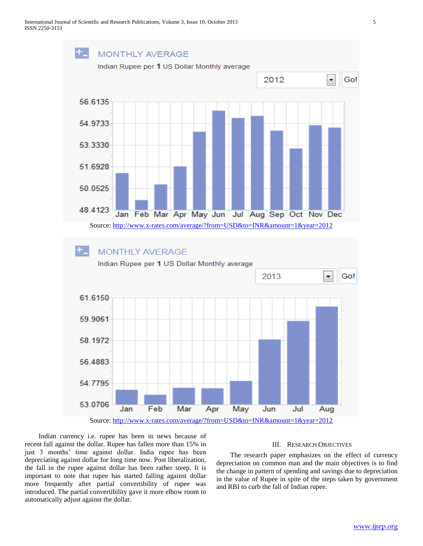

 Indian currency i.e. rupee has been in news because of recent fall against the dollar. Rupee has fallen more than 15% in just 3 months' time against dollar. India rupee has been depreciating against dollar for long time now. Post liberalization, the fall in the rupee against dollar has been rather steep. It is important to note that rupee has started falling against dollar more frequently after partial convertibility of rupee was introduced. The partial convertibility gave it more elbow room to automatically adjust against the dollar.

# III. RESEARCH OBJECTIVES

 The research paper emphasizes on the effect of currency depreciation on common man and the main objectives is to find the change in pattern of spending and savings due to depreciation in the value of Rupee in spite of the steps taken by government and RBI to curb the fall of Indian rupee.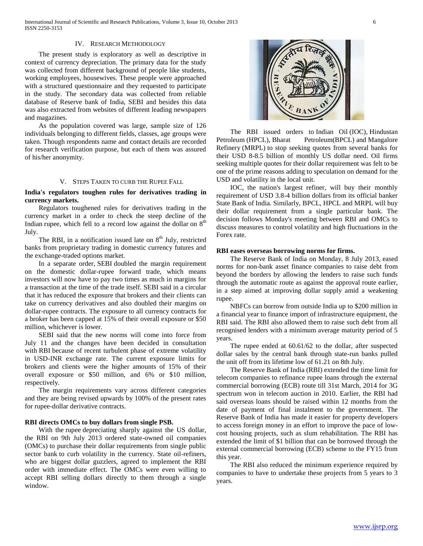International Journal of Scientific and Research Publications, Volume 3, Issue 10, October 2013 6 ISSN 2250-3153

#### IV. RESEARCH METHODOLOGY

 The present study is exploratory as well as descriptive in context of currency depreciation. The primary data for the study was collected from different background of people like students, working employees, housewives. These people were approached with a structured questionnaire and they requested to participate in the study. The secondary data was collected from reliable database of Reserve bank of India, SEBI and besides this data was also extracted from websites of different leading newspapers and magazines.

 As the population covered was large, sample size of 126 individuals belonging to different fields, classes, age groups were taken. Though respondents name and contact details are recorded for research verification purpose, but each of them was assured of his/her anonymity.

#### V. STEPS TAKEN TO CURB THE RUPEE FALL

# **India's regulators toughen rules for derivatives trading in currency markets.**

 Regulators toughened rules for derivatives trading in the currency market in a order to check the steep decline of the Indian rupee, which fell to a record low against the dollar on  $8<sup>th</sup>$ July.

The RBI, in a notification issued late on  $8<sup>th</sup>$  July, restricted banks from proprietary trading in domestic currency futures and the exchange-traded options market.

 In a separate order, SEBI doubled the margin requirement on the domestic dollar-rupee forward trade, which means investors will now have to pay two times as much in margins for a transaction at the time of the trade itself. SEBI said in a circular that it has reduced the exposure that brokers and their clients can take on currency derivatives and also doubled their margins on dollar-rupee contracts. The exposure to all currency contracts for a broker has been capped at 15% of their overall exposure or \$50 million, whichever is lower.

 SEBI said that the new norms will come into force from July 11 and the changes have been decided in consultation with RBI because of recent turbulent phase of extreme volatility in USD-INR exchange rate. The current exposure limits for brokers and clients were the higher amounts of 15% of their overall exposure or \$50 million, and 6% or \$10 million, respectively.

 The margin requirements vary across different categories and they are being revised upwards by 100% of the present rates for rupee-dollar derivative contracts.

#### **RBI directs OMCs to buy dollars from single PSB.**

 With the rupee depreciating sharply against the US dollar, the RBI on 9th July 2013 ordered state-owned oil companies (OMCs) to purchase their dollar requirements from single public sector bank to curb volatility in the currency. State oil-refiners, who are biggest dollar guzzlers, agreed to implement the RBI order with immediate effect. The OMCs were even willing to accept RBI selling dollars directly to them through a single window.



 The RBI issued orders to Indian Oil (IOC), Hindustan Petroleum (HPCL), Bharat Petroleum (BPCL) and Mangalore Refinery (MRPL) to stop seeking quotes from several banks for their USD 8-8.5 billion of monthly US dollar need. Oil firms seeking multiple quotes for their dollar requirement was felt to be one of the prime reasons adding to speculation on demand for the USD and volatility in the local unit.

 IOC, the nation's largest refiner, will buy their monthly requirement of USD 3.8-4 billion dollars from its official banker State Bank of India. Similarly, BPCL, HPCL and MRPL will buy their dollar requirement from a single particular bank. The decision follows Monday's meeting between RBI and OMCs to discuss measures to control volatility and high fluctuations in the Forex rate.

#### **RBI eases overseas borrowing norms for firms.**

 The Reserve Bank of India on Monday, 8 July 2013, eased norms for non-bank asset finance companies to raise debt from beyond the borders by allowing the lenders to raise such funds through the automatic route as against the approval route earlier, in a step aimed at improving dollar supply amid a weakening rupee.

 NBFCs can borrow from outside India up to \$200 million in a financial year to finance import of infrastructure equipment, the RBI said. The RBI also allowed them to raise such debt from all recognised lenders with a minimum average maturity period of 5 years.

 The rupee ended at 60.61/62 to the dollar, after suspected dollar sales by the central bank through state-run banks pulled the unit off from its lifetime low of 61.21 on 8th July.

 The Reserve Bank of India (RBI) extended the time limit for telecom companies to refinance rupee loans through the external commercial borrowing (ECB) route till 31st March, 2014 for 3G spectrum won in telecom auction in 2010. Earlier, the RBI had said overseas loans should be raised within 12 months from the date of payment of final instalment to the government. The Reserve Bank of India has made it easier for property developers to access foreign money in an effort to improve the pace of lowcost housing projects, such as slum rehabilitation. The RBI has extended the limit of \$1 billion that can be borrowed through the external commercial borrowing (ECB) scheme to the FY15 from this year.

 The RBI also reduced the minimum experience required by companies to have to undertake these projects from 5 years to 3 years.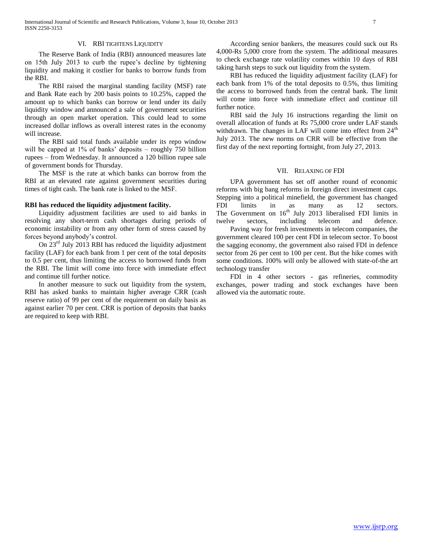# VI. RBI TIGHTENS LIQUIDITY

 The Reserve Bank of India (RBI) announced measures late on 15th July 2013 to curb the rupee's decline by tightening liquidity and making it costlier for banks to borrow funds from the RBI.

 The RBI raised the marginal standing facility (MSF) rate and Bank Rate each by 200 basis points to 10.25%, capped the amount up to which banks can borrow or lend under its daily liquidity window and announced a sale of government securities through an open market operation. This could lead to some increased dollar inflows as overall interest rates in the economy will increase.

 The RBI said total funds available under its repo window will be capped at 1% of banks' deposits – roughly 750 billion rupees – from Wednesday. It announced a 120 billion rupee sale of government bonds for Thursday.

 The MSF is the rate at which banks can borrow from the RBI at an elevated rate against government securities during times of tight cash. The bank rate is linked to the MSF.

#### **RBI has reduced the liquidity adjustment facility.**

 Liquidity adjustment facilities are used to aid banks in resolving any short-term cash shortages during periods of economic instability or from any other form of stress caused by forces beyond anybody's control.

 On 23rd July 2013 RBI has reduced the liquidity adjustment facility (LAF) for each bank from 1 per cent of the total deposits to 0.5 per cent, thus limiting the access to borrowed funds from the RBI. The limit will come into force with immediate effect and continue till further notice.

 In another measure to suck out liquidity from the system, RBI has asked banks to maintain higher average CRR (cash reserve ratio) of 99 per cent of the requirement on daily basis as against earlier 70 per cent. CRR is portion of deposits that banks are required to keep with RBI.

 According senior bankers, the measures could suck out Rs 4,000-Rs 5,000 crore from the system. The additional measures to check exchange rate volatility comes within 10 days of RBI taking harsh steps to suck out liquidity from the system.

 RBI has reduced the liquidity adjustment facility (LAF) for each bank from 1% of the total deposits to 0.5%, thus limiting the access to borrowed funds from the central bank. The limit will come into force with immediate effect and continue till further notice.

 RBI said the July 16 instructions regarding the limit on overall allocation of funds at Rs 75,000 crore under LAF stands withdrawn. The changes in LAF will come into effect from 24<sup>th</sup> July 2013. The new norms on CRR will be effective from the first day of the next reporting fortnight, from July 27, 2013.

#### VII. RELAXING OF FDI

 UPA government has set off another round of economic reforms with big bang reforms in foreign direct investment caps. Stepping into a political minefield, the government has changed FDI limits in as many as 12 sectors. The Government on  $16<sup>th</sup>$  July 2013 liberalised FDI limits in twelve sectors, including telecom and defence.

 Paving way for fresh investments in telecom companies, the government cleared 100 per cent FDI in telecom sector. To boost the sagging economy, the government also raised FDI in defence sector from 26 per cent to 100 per cent. But the hike comes with some conditions. 100% will only be allowed with state-of-the art technology transfer

 FDI in 4 other sectors - gas refineries, commodity exchanges, power trading and stock exchanges have been allowed via the automatic route.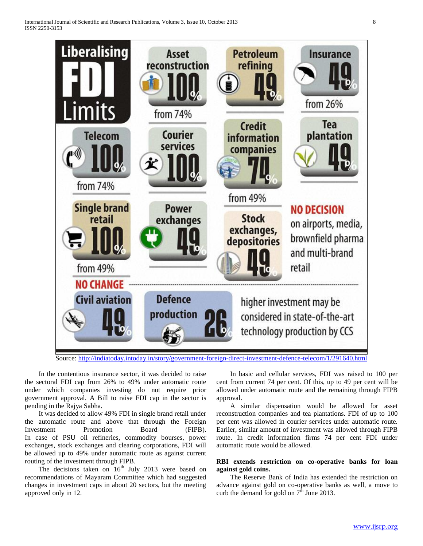

Source:<http://indiatoday.intoday.in/story/government-foreign-direct-investment-defence-telecom/1/291640.html>

 In the contentious insurance sector, it was decided to raise the sectoral FDI cap from 26% to 49% under automatic route under which companies investing do not require prior government approval. A Bill to raise FDI cap in the sector is pending in the Rajya Sabha.

 It was decided to allow 49% FDI in single brand retail under the automatic route and above that through the Foreign Investment Promotion Board (FIPB). In case of PSU oil refineries, commodity bourses, power exchanges, stock exchanges and clearing corporations, FDI will be allowed up to 49% under automatic route as against current routing of the investment through FIPB.

The decisions taken on  $16<sup>th</sup>$  July 2013 were based on recommendations of Mayaram Committee which had suggested changes in investment caps in about 20 sectors, but the meeting approved only in 12.

 In basic and cellular services, FDI was raised to 100 per cent from current 74 per cent. Of this, up to 49 per cent will be allowed under automatic route and the remaining through FIPB approval.

 A similar dispensation would be allowed for asset reconstruction companies and tea plantations. FDI of up to 100 per cent was allowed in courier services under automatic route. Earlier, similar amount of investment was allowed through FIPB route. In credit information firms 74 per cent FDI under automatic route would be allowed.

# **RBI extends restriction on co-operative banks for loan against gold coins.**

 The Reserve Bank of India has extended the restriction on advance against gold on co-operative banks as well, a move to curb the demand for gold on  $7<sup>th</sup>$  June 2013.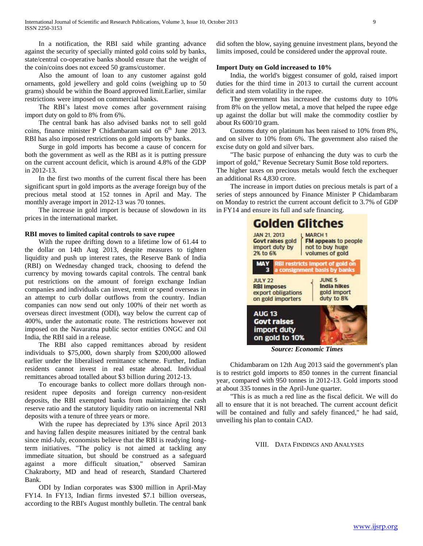In a notification, the RBI said while granting advance against the security of specially minted gold coins sold by banks, state/central co-operative banks should ensure that the weight of the coin/coins does not exceed 50 grams/customer.

 Also the amount of loan to any customer against gold ornaments, gold jewellery and gold coins (weighing up to 50 grams) should be within the Board approved limit.Earlier, similar restrictions were imposed on commercial banks.

 The RBI's latest move comes after government raising import duty on gold to 8% from 6%.

 The central bank has also advised banks not to sell gold coins, finance minister P Chidambaram said on  $6<sup>th</sup>$  June 2013. RBI has also imposed restrictions on gold imports by banks.

 Surge in gold imports has become a cause of concern for both the government as well as the RBI as it is putting pressure on the current account deficit, which is around 4.8% of the GDP in 2012-13.

 In the first two months of the current fiscal there has been significant spurt in gold imports as the average foreign buy of the precious metal stood at 152 tonnes in April and May. The monthly average import in 2012-13 was 70 tonnes.

 The increase in gold import is because of slowdown in its prices in the international market.

#### **RBI moves to limited capital controls to save rupee**

 With the rupee drifting down to a lifetime low of 61.44 to the dollar on 14th Aug 2013, despite measures to tighten liquidity and push up interest rates, the Reserve Bank of India (RBI) on Wednesday changed track, choosing to defend the currency by moving towards capital controls. The central bank put restrictions on the amount of foreign exchange Indian companies and individuals can invest, remit or spend overseas in an attempt to curb dollar outflows from the country. Indian companies can now send out only 100% of their net worth as overseas direct investment (ODI), way below the current cap of 400%, under the automatic route. The restrictions however not imposed on the Navaratna public sector entities ONGC and Oil India, the RBI said in a release.

 The RBI also capped remittances abroad by resident individuals to \$75,000, down sharply from \$200,000 allowed earlier under the liberalised remittance scheme. Further, Indian residents cannot invest in real estate abroad. Individual remittances abroad totalled about \$3 billion during 2012-13.

 To encourage banks to collect more dollars through nonresident rupee deposits and foreign currency non-resident deposits, the RBI exempted banks from maintaining the cash reserve ratio and the statutory liquidity ratio on incremental NRI deposits with a tenure of three years or more.

 With the rupee has depreciated by 13% since April 2013 and having fallen despite measures initiated by the central bank since mid-July, economists believe that the RBI is readying longterm initiatives. "The policy is not aimed at tackling any immediate situation, but should be construed as a safeguard against a more difficult situation," observed Samiran Chakraborty, MD and head of research, Standard Chartered Bank.

 ODI by Indian corporates was \$300 million in April-May FY14. In FY13, Indian firms invested \$7.1 billion overseas, according to the RBI's August monthly bulletin. The central bank did soften the blow, saying genuine investment plans, beyond the limits imposed, could be considered under the approval route.

# **Import Duty on Gold increased to 10%**

 India, the world's biggest consumer of gold, raised import duties for the third time in 2013 to curtail the current account deficit and stem volatility in the rupee.

 The government has increased the customs duty to 10% from 8% on the yellow metal, a move that helped the rupee edge up against the dollar but will make the commodity costlier by about Rs 600/10 gram.

 Customs duty on platinum has been raised to 10% from 8%, and on silver to 10% from 6%. The government also raised the excise duty on gold and silver bars.

 "The basic purpose of enhancing the duty was to curb the import of gold," Revenue Secretary Sumit Bose told reporters.

The higher taxes on precious metals would fetch the exchequer an additional Rs 4,830 crore.

 The increase in import duties on precious metals is part of a series of steps announced by Finance Minister P Chidambaram on Monday to restrict the current account deficit to 3.7% of GDP in FY14 and ensure its full and safe financing.



*Source: Economic Times*

 Chidambaram on 12th Aug 2013 said the government's plan is to restrict gold imports to 850 tonnes in the current financial year, compared with 950 tonnes in 2012-13. Gold imports stood at about 335 tonnes in the April-June quarter.

 "This is as much a red line as the fiscal deficit. We will do all to ensure that it is not breached. The current account deficit will be contained and fully and safely financed," he had said, unveiling his plan to contain CAD.

# VIII. DATA FINDINGS AND ANALYSES

www.ijsrp.org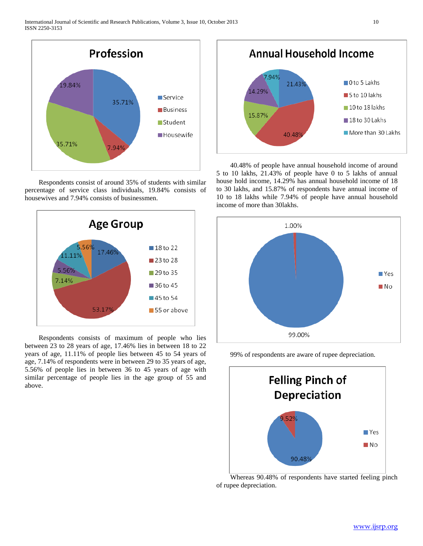

 Respondents consist of around 35% of students with similar percentage of service class individuals, 19.84% consists of housewives and 7.94% consists of businessmen.



 Respondents consists of maximum of people who lies between 23 to 28 years of age, 17.46% lies in between 18 to 22 years of age, 11.11% of people lies between 45 to 54 years of age, 7.14% of respondents were in between 29 to 35 years of age, 5.56% of people lies in between 36 to 45 years of age with similar percentage of people lies in the age group of 55 and above.



 40.48% of people have annual household income of around 5 to 10 lakhs, 21.43% of people have 0 to 5 lakhs of annual house hold income, 14.29% has annual household income of 18 to 30 lakhs, and 15.87% of respondents have annual income of 10 to 18 lakhs while 7.94% of people have annual household income of more than 30lakhs.



99% of respondents are aware of rupee depreciation.



 Whereas 90.48% of respondents have started feeling pinch of rupee depreciation.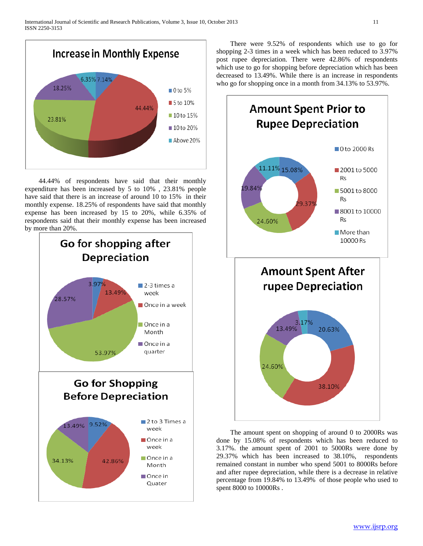

 44.44% of respondents have said that their monthly expenditure has been increased by 5 to 10% , 23.81% people have said that there is an increase of around 10 to 15% in their monthly expense. 18.25% of respondents have said that monthly expense has been increased by 15 to 20%, while 6.35% of respondents said that their monthly expense has been increased by more than 20%.



 There were 9.52% of respondents which use to go for shopping 2-3 times in a week which has been reduced to 3.97% post rupee depreciation. There were 42.86% of respondents which use to go for shopping before depreciation which has been decreased to 13.49%. While there is an increase in respondents who go for shopping once in a month from 34.13% to 53.97%.



 The amount spent on shopping of around 0 to 2000Rs was done by 15.08% of respondents which has been reduced to 3.17%. the amount spent of 2001 to 5000Rs were done by 29.37% which has been increased to 38.10%, respondents remained constant in number who spend 5001 to 8000Rs before and after rupee depreciation, while there is a decrease in relative percentage from 19.84% to 13.49% of those people who used to spent 8000 to 10000Rs .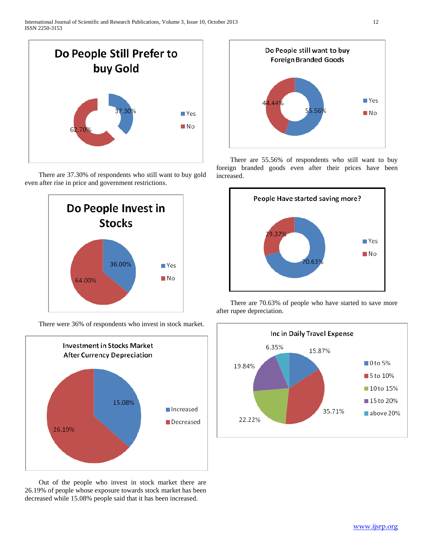

 There are 37.30% of respondents who still want to buy gold even after rise in price and government restrictions.



There were 36% of respondents who invest in stock market.



 Out of the people who invest in stock market there are 26.19% of people whose exposure towards stock market has been decreased while 15.08% people said that it has been increased.



 There are 55.56% of respondents who still want to buy foreign branded goods even after their prices have been increased.



 There are 70.63% of people who have started to save more after rupee depreciation.

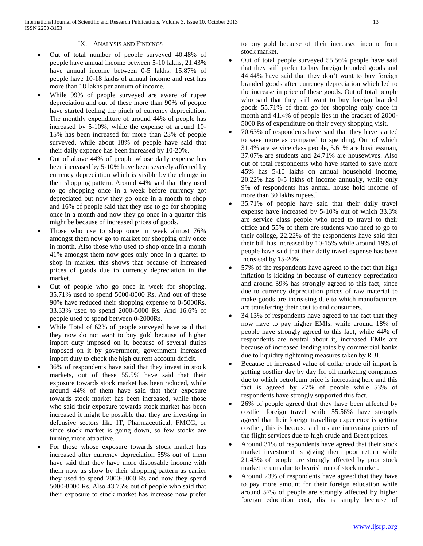# IX. ANALYSIS AND FINDINGS

- Out of total number of people surveyed 40.48% of people have annual income between 5-10 lakhs, 21.43% have annual income between 0-5 lakhs, 15.87% of people have 10-18 lakhs of annual income and rest has more than 18 lakhs per annum of income.
- While 99% of people surveyed are aware of rupee depreciation and out of these more than 90% of people have started feeling the pinch of currency depreciation. The monthly expenditure of around 44% of people has increased by 5-10%, while the expense of around 10- 15% has been increased for more than 23% of people surveyed, while about 18% of people have said that their daily expense has been increased by 10-20%.
- Out of above 44% of people whose daily expense has been increased by 5-10% have been severely affected by currency depreciation which is visible by the change in their shopping pattern. Around 44% said that they used to go shopping once in a week before currency got depreciated but now they go once in a month to shop and 16% of people said that they use to go for shopping once in a month and now they go once in a quarter this might be because of increased prices of goods.
- Those who use to shop once in week almost 76% amongst them now go to market for shopping only once in month, Also those who used to shop once in a month 41% amongst them now goes only once in a quarter to shop in market, this shows that because of increased prices of goods due to currency depreciation in the market.
- Out of people who go once in week for shopping, 35.71% used to spend 5000-8000 Rs. And out of these 90% have reduced their shopping expense to 0-5000Rs. 33.33% used to spend 2000-5000 Rs. And 16.6% of people used to spend between 0-2000Rs.
- While Total of 62% of people surveyed have said that they now do not want to buy gold because of higher import duty imposed on it, because of several duties imposed on it by government, government increased import duty to check the high current account deficit.
- 36% of respondents have said that they invest in stock markets, out of these 55.5% have said that their exposure towards stock market has been reduced, while around 44% of them have said that their exposure towards stock market has been increased, while those who said their exposure towards stock market has been increased it might be possible that they are investing in defensive sectors like IT, Pharmaceutical, FMCG, or since stock market is going down, so few stocks are turning more attractive.
- For those whose exposure towards stock market has increased after currency depreciation 55% out of them have said that they have more disposable income with them now as show by their shopping pattern as earlier they used to spend 2000-5000 Rs and now they spend 5000-8000 Rs. Also 43.75% out of people who said that their exposure to stock market has increase now prefer

to buy gold because of their increased income from stock market.

- Out of total people surveyed 55.56% people have said that they still prefer to buy foreign branded goods and 44.44% have said that they don't want to buy foreign branded goods after currency depreciation which led to the increase in price of these goods. Out of total people who said that they still want to buy foreign branded goods 55.71% of them go for shopping only once in month and 41.4% of people lies in the bracket of 2000- 5000 Rs of expenditure on their every shopping visit.
- 70.63% of respondents have said that they have started to save more as compared to spending, Out of which 31.4% are service class people, 5.61% are businessman, 37.07% are students and 24.71% are housewives. Also out of total respondents who have started to save more 45% has 5-10 lakhs on annual household income, 20.22% has 0-5 lakhs of income annually, while only 9% of respondents has annual house hold income of more than 30 lakhs rupees.`
- 35.71% of people have said that their daily travel expense have increased by 5-10% out of which 33.3% are service class people who need to travel to their office and 55% of them are students who need to go to their college, 22.22% of the respondents have said that their bill has increased by 10-15% while around 19% of people have said that their daily travel expense has been increased by 15-20%.
- 57% of the respondents have agreed to the fact that high inflation is kicking in because of currency depreciation and around 39% has strongly agreed to this fact, since due to currency depreciation prices of raw material to make goods are increasing due to which manufacturers are transferring their cost to end consumers.
- 34.13% of respondents have agreed to the fact that they now have to pay higher EMIs, while around 18% of people have strongly agreed to this fact, while 44% of respondents are neutral about it, increased EMIs are because of increased lending rates by commercial banks due to liquidity tightening measures taken by RBI.
- Because of increased value of dollar crude oil import is getting costlier day by day for oil marketing companies due to which petroleum price is increasing here and this fact is agreed by 27% of people while 53% of respondents have strongly supported this fact.
- 26% of people agreed that they have been affected by costlier foreign travel while 55.56% have strongly agreed that their foreign travelling experience is getting costlier, this is because airlines are increasing prices of the flight services due to high crude and Brent prices.
- Around 31% of respondents have agreed that their stock market investment is giving them poor return while 21.43% of people are strongly affected by poor stock market returns due to bearish run of stock market.
- Around 23% of respondents have agreed that they have to pay more amount for their foreign education while around 57% of people are strongly affected by higher foreign education cost, dis is simply because of